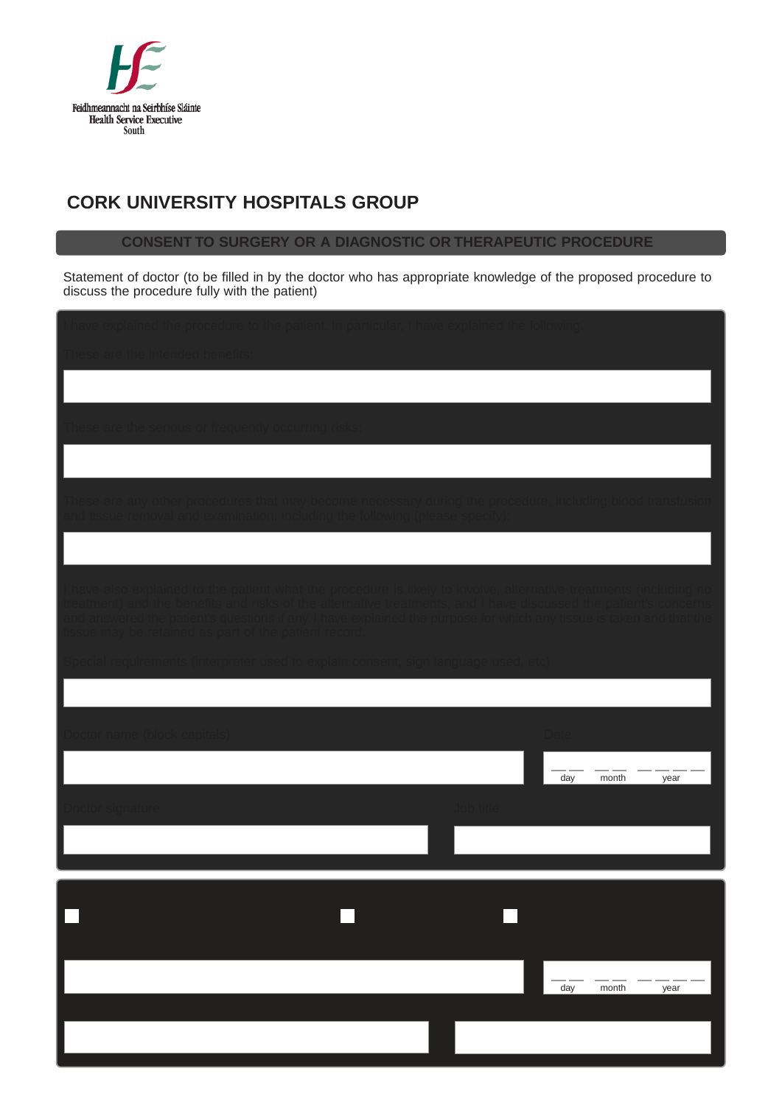

## **CORK UNIVERSITY HOSPITALS GROUP**

## **CONSENT TO SURGERY OR A DIAGNOSTIC OR THERAPEUTIC PROCEDURE**

Statement of doctor (to be filled in by the doctor who has appropriate knowledge of the proposed procedure to discuss the procedure fully with the patient)

| These are the intended benefits:<br>These are the serious or frequently occurring risks:                                                                                                                                               |
|----------------------------------------------------------------------------------------------------------------------------------------------------------------------------------------------------------------------------------------|
|                                                                                                                                                                                                                                        |
|                                                                                                                                                                                                                                        |
|                                                                                                                                                                                                                                        |
|                                                                                                                                                                                                                                        |
|                                                                                                                                                                                                                                        |
| These are any other procedures that may become necessary during the procedure, including blood transfusion<br>and tissue removal and examination, including the following (please specify):                                            |
|                                                                                                                                                                                                                                        |
|                                                                                                                                                                                                                                        |
| I have also explained to the patient what the procedure is likely to involve, alternative treatments (including no<br>treatment) and the benefits and risks of the alternative treatments, and I have discussed the patient's concerns |
| and answered the patient's questions if any. I have explained the purpose for which any tissue is taken and that the<br>tissue may be retained as part of the patient record.                                                          |
| Special requirements (interpreter used to explain consent, sign language used, etc) $\,$                                                                                                                                               |
|                                                                                                                                                                                                                                        |
|                                                                                                                                                                                                                                        |
| Doctor name (block capitals)<br><b>Date</b>                                                                                                                                                                                            |
| day<br>month<br>year                                                                                                                                                                                                                   |
| Job title<br>Doctor signature                                                                                                                                                                                                          |
|                                                                                                                                                                                                                                        |
|                                                                                                                                                                                                                                        |
|                                                                                                                                                                                                                                        |
|                                                                                                                                                                                                                                        |
|                                                                                                                                                                                                                                        |
| day<br>month<br>year                                                                                                                                                                                                                   |
|                                                                                                                                                                                                                                        |
|                                                                                                                                                                                                                                        |